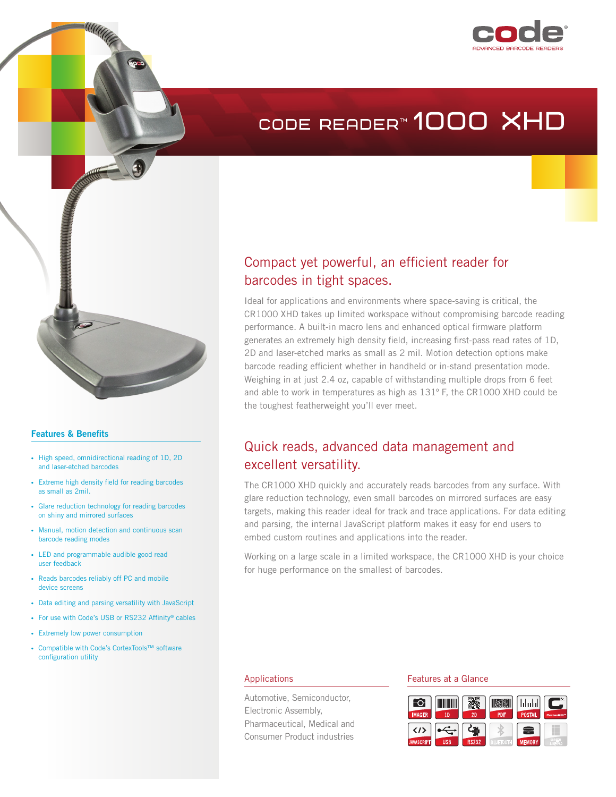

# CODE READER<sup>®</sup> 1000 XHD



### **Features & Benefits**

- High speed, omnidirectional reading of 1D, 2D and laser-etched barcodes
- Extreme high density field for reading barcodes as small as 2mil.
- Glare reduction technology for reading barcodes on shiny and mirrored surfaces
- Manual, motion detection and continuous scan barcode reading modes
- LED and programmable audible good read user feedback
- Reads barcodes reliably off PC and mobile device screens
- Data editing and parsing versatility with JavaScript
- For use with Code's USB or RS232 Affinity® cables
- Extremely low power consumption
- Compatible with Code's CortexTools™ software configuration utility

## Compact yet powerful, an efficient reader for barcodes in tight spaces.

Ideal for applications and environments where space-saving is critical, the CR1000 XHD takes up limited workspace without compromising barcode reading performance. A built-in macro lens and enhanced optical firmware platform generates an extremely high density field, increasing first-pass read rates of 1D, 2D and laser-etched marks as small as 2 mil. Motion detection options make barcode reading efficient whether in handheld or in-stand presentation mode. Weighing in at just 2.4 oz, capable of withstanding multiple drops from 6 feet and able to work in temperatures as high as 131º F, the CR1000 XHD could be the toughest featherweight you'll ever meet.

### Quick reads, advanced data management and excellent versatility.

The CR1000 XHD quickly and accurately reads barcodes from any surface. With glare reduction technology, even small barcodes on mirrored surfaces are easy targets, making this reader ideal for track and trace applications. For data editing and parsing, the internal JavaScript platform makes it easy for end users to embed custom routines and applications into the reader.

Working on a large scale in a limited workspace, the CR1000 XHD is your choice for huge performance on the smallest of barcodes.

#### **Applications**

Automotive, Semiconductor, Electronic Assembly, Pharmaceutical, Medical and Consumer Product industries

### Features at a Glance